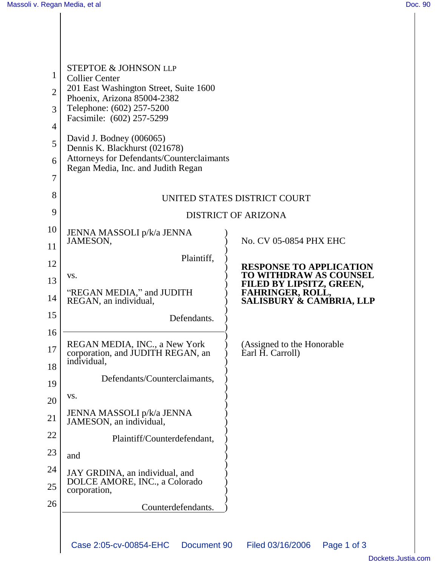| 1              | <b>STEPTOE &amp; JOHNSON LLP</b><br><b>Collier Center</b>             |                                                           |
|----------------|-----------------------------------------------------------------------|-----------------------------------------------------------|
| $\overline{2}$ | 201 East Washington Street, Suite 1600<br>Phoenix, Arizona 85004-2382 |                                                           |
| 3              | Telephone: (602) 257-5200<br>Facsimile: (602) 257-5299                |                                                           |
| 4              |                                                                       |                                                           |
| 5              | David J. Bodney (006065)<br>Dennis K. Blackhurst (021678)             |                                                           |
| 6              | Attorneys for Defendants/Counterclaimants                             |                                                           |
| 7              | Regan Media, Inc. and Judith Regan                                    |                                                           |
| 8              |                                                                       | UNITED STATES DISTRICT COURT                              |
| 9              | <b>DISTRICT OF ARIZONA</b>                                            |                                                           |
| 10             | JENNA MASSOLI p/k/a JENNA                                             |                                                           |
| 11             | JAMESON,                                                              | No. CV 05-0854 PHX EHC                                    |
| 12             | Plaintiff,                                                            | <b>RESPONSE TO APPLICATION</b>                            |
| 13             | VS.                                                                   | <b>TO WITHDRAW AS COUNSEL</b><br>FILED BY LIPSITZ, GREEN, |
| 14             | "REGAN MEDIA," and JUDITH<br>REGAN, an individual,                    | FAHRINGER, ROLL,<br><b>SALISBURY &amp; CAMBRIA, LLP</b>   |
| 15             | Defendants.                                                           |                                                           |
| 16             |                                                                       | (Assigned to the Honorable                                |
| 17             | REGAN MEDIA, INC., a New York<br>corporation, and JUDITH REGAN, an    | Earl H. Carroll)                                          |
| 18             | individual,                                                           |                                                           |
| 19             | Defendants/Counterclaimants,                                          |                                                           |
| 20             | VS.                                                                   |                                                           |
| 21             | JENNA MASSOLI p/k/a JENNA<br>JAMESON, an individual,                  |                                                           |
| 22             | Plaintiff/Counterdefendant,                                           |                                                           |
| 23             | and                                                                   |                                                           |
| 24             | JAY GRDINA, an individual, and                                        |                                                           |
| 25             | DOLCE AMORE, INC., a Colorado<br>corporation,                         |                                                           |
| 26             | Counterdefendants.                                                    |                                                           |
|                |                                                                       |                                                           |
|                | Case 2:05-cv-00854-EHC<br>Document 90                                 | Filed 03/16/2006<br>Page 1 of 3                           |
|                |                                                                       |                                                           |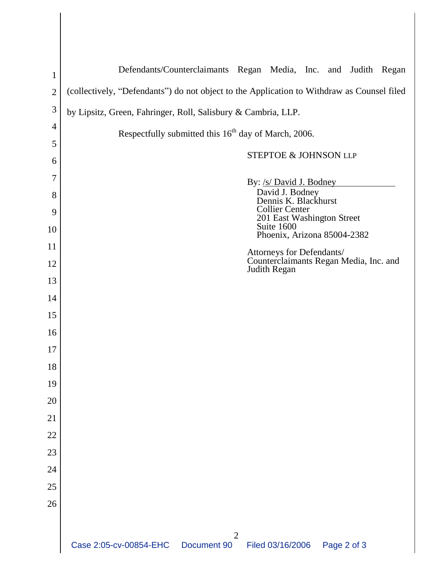| $\mathbf{1}$   | Defendants/Counterclaimants Regan Media, Inc. and Judith Regan                             |
|----------------|--------------------------------------------------------------------------------------------|
| $\overline{2}$ | (collectively, "Defendants") do not object to the Application to Withdraw as Counsel filed |
| $\mathfrak{Z}$ | by Lipsitz, Green, Fahringer, Roll, Salisbury & Cambria, LLP.                              |
| 4              |                                                                                            |
| 5              | Respectfully submitted this 16 <sup>th</sup> day of March, 2006.                           |
| 6              | STEPTOE & JOHNSON LLP                                                                      |
| 7              | By: /s/ David J. Bodney                                                                    |
| 8              | David J. Bodney<br>Dennis K. Blackhurst                                                    |
| 9              | <b>Collier Center</b><br>201 East Washington Street                                        |
| 10             | Suite 1600<br>Phoenix, Arizona 85004-2382                                                  |
| 11             | Attorneys for Defendants/                                                                  |
| 12             | Counterclaimants Regan Media, Inc. and<br>Judith Regan                                     |
| 13             |                                                                                            |
| 14             |                                                                                            |
| 15             |                                                                                            |
| 16             |                                                                                            |
| 17             |                                                                                            |
| 18             |                                                                                            |
| 19             |                                                                                            |
| 20             |                                                                                            |
| 21             |                                                                                            |
| 22<br>23       |                                                                                            |
| 24             |                                                                                            |
| 25             |                                                                                            |
| 26             |                                                                                            |
|                |                                                                                            |
|                | $\overline{2}$                                                                             |
|                | Case 2:05-cv-00854-EHC<br>Filed 03/16/2006<br>Document 90<br>Page 2 of 3                   |